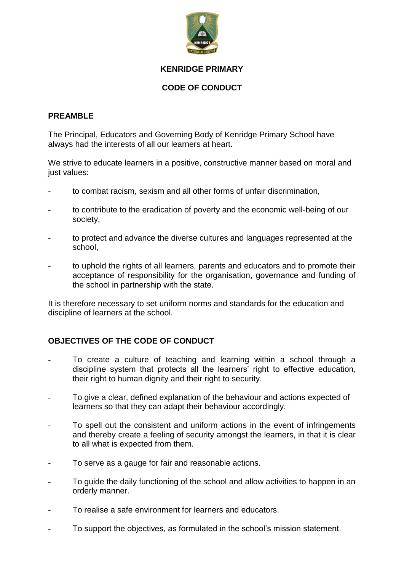

### **KENRIDGE PRIMARY**

# **CODE OF CONDUCT**

### **PREAMBLE**

The Principal, Educators and Governing Body of Kenridge Primary School have always had the interests of all our learners at heart.

We strive to educate learners in a positive, constructive manner based on moral and just values:

- to combat racism, sexism and all other forms of unfair discrimination,
- to contribute to the eradication of poverty and the economic well-being of our society,
- to protect and advance the diverse cultures and languages represented at the school,
- to uphold the rights of all learners, parents and educators and to promote their acceptance of responsibility for the organisation, governance and funding of the school in partnership with the state.

It is therefore necessary to set uniform norms and standards for the education and discipline of learners at the school.

# **OBJECTIVES OF THE CODE OF CONDUCT**

- To create a culture of teaching and learning within a school through a discipline system that protects all the learners' right to effective education, their right to human dignity and their right to security.
- To give a clear, defined explanation of the behaviour and actions expected of learners so that they can adapt their behaviour accordingly.
- To spell out the consistent and uniform actions in the event of infringements and thereby create a feeling of security amongst the learners, in that it is clear to all what is expected from them.
- To serve as a gauge for fair and reasonable actions.
- To guide the daily functioning of the school and allow activities to happen in an orderly manner.
- To realise a safe environment for learners and educators.
- To support the objectives, as formulated in the school's mission statement.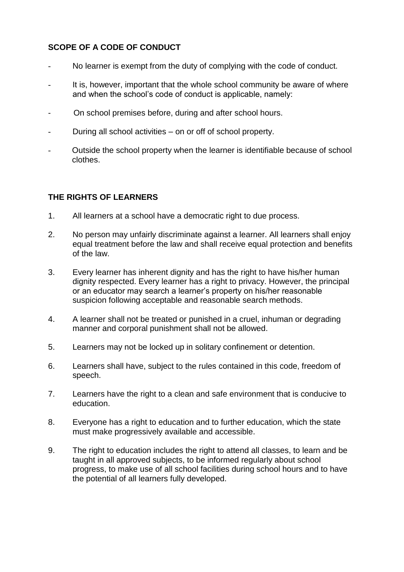# **SCOPE OF A CODE OF CONDUCT**

- No learner is exempt from the duty of complying with the code of conduct.
- It is, however, important that the whole school community be aware of where and when the school's code of conduct is applicable, namely:
- On school premises before, during and after school hours.
- During all school activities on or off of school property.
- Outside the school property when the learner is identifiable because of school clothes.

# **THE RIGHTS OF LEARNERS**

- 1. All learners at a school have a democratic right to due process.
- 2. No person may unfairly discriminate against a learner. All learners shall enjoy equal treatment before the law and shall receive equal protection and benefits of the law.
- 3. Every learner has inherent dignity and has the right to have his/her human dignity respected. Every learner has a right to privacy. However, the principal or an educator may search a learner's property on his/her reasonable suspicion following acceptable and reasonable search methods.
- 4. A learner shall not be treated or punished in a cruel, inhuman or degrading manner and corporal punishment shall not be allowed.
- 5. Learners may not be locked up in solitary confinement or detention.
- 6. Learners shall have, subject to the rules contained in this code, freedom of speech.
- 7. Learners have the right to a clean and safe environment that is conducive to education.
- 8. Everyone has a right to education and to further education, which the state must make progressively available and accessible.
- 9. The right to education includes the right to attend all classes, to learn and be taught in all approved subjects, to be informed regularly about school progress, to make use of all school facilities during school hours and to have the potential of all learners fully developed.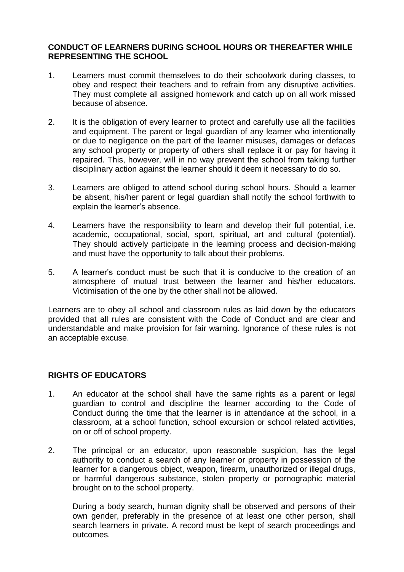### **CONDUCT OF LEARNERS DURING SCHOOL HOURS OR THEREAFTER WHILE REPRESENTING THE SCHOOL**

- 1. Learners must commit themselves to do their schoolwork during classes, to obey and respect their teachers and to refrain from any disruptive activities. They must complete all assigned homework and catch up on all work missed because of absence.
- 2. It is the obligation of every learner to protect and carefully use all the facilities and equipment. The parent or legal guardian of any learner who intentionally or due to negligence on the part of the learner misuses, damages or defaces any school property or property of others shall replace it or pay for having it repaired. This, however, will in no way prevent the school from taking further disciplinary action against the learner should it deem it necessary to do so.
- 3. Learners are obliged to attend school during school hours. Should a learner be absent, his/her parent or legal guardian shall notify the school forthwith to explain the learner's absence.
- 4. Learners have the responsibility to learn and develop their full potential, i.e. academic, occupational, social, sport, spiritual, art and cultural (potential). They should actively participate in the learning process and decision-making and must have the opportunity to talk about their problems.
- 5. A learner's conduct must be such that it is conducive to the creation of an atmosphere of mutual trust between the learner and his/her educators. Victimisation of the one by the other shall not be allowed.

Learners are to obey all school and classroom rules as laid down by the educators provided that all rules are consistent with the Code of Conduct and are clear and understandable and make provision for fair warning. Ignorance of these rules is not an acceptable excuse.

# **RIGHTS OF EDUCATORS**

- 1. An educator at the school shall have the same rights as a parent or legal guardian to control and discipline the learner according to the Code of Conduct during the time that the learner is in attendance at the school, in a classroom, at a school function, school excursion or school related activities, on or off of school property.
- 2. The principal or an educator, upon reasonable suspicion, has the legal authority to conduct a search of any learner or property in possession of the learner for a dangerous object, weapon, firearm, unauthorized or illegal drugs, or harmful dangerous substance, stolen property or pornographic material brought on to the school property.

During a body search, human dignity shall be observed and persons of their own gender, preferably in the presence of at least one other person, shall search learners in private. A record must be kept of search proceedings and outcomes.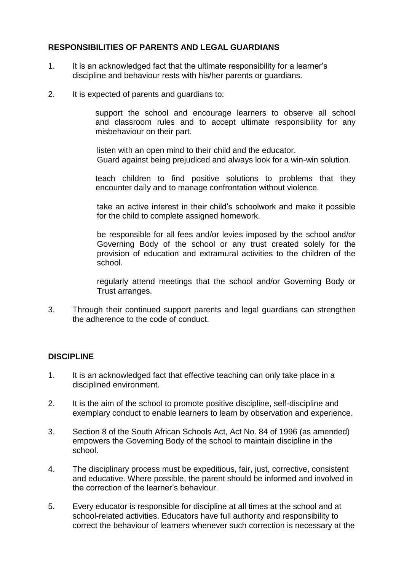### **RESPONSIBILITIES OF PARENTS AND LEGAL GUARDIANS**

- 1. It is an acknowledged fact that the ultimate responsibility for a learner's discipline and behaviour rests with his/her parents or guardians.
- 2. It is expected of parents and guardians to:

 support the school and encourage learners to observe all school and classroom rules and to accept ultimate responsibility for any misbehaviour on their part.

listen with an open mind to their child and the educator. Guard against being prejudiced and always look for a win-win solution.

 teach children to find positive solutions to problems that they encounter daily and to manage confrontation without violence.

take an active interest in their child's schoolwork and make it possible for the child to complete assigned homework.

be responsible for all fees and/or levies imposed by the school and/or Governing Body of the school or any trust created solely for the provision of education and extramural activities to the children of the school.

regularly attend meetings that the school and/or Governing Body or Trust arranges.

3. Through their continued support parents and legal guardians can strengthen the adherence to the code of conduct.

#### **DISCIPLINE**

- 1. It is an acknowledged fact that effective teaching can only take place in a disciplined environment.
- 2. It is the aim of the school to promote positive discipline, self-discipline and exemplary conduct to enable learners to learn by observation and experience.
- 3. Section 8 of the South African Schools Act, Act No. 84 of 1996 (as amended) empowers the Governing Body of the school to maintain discipline in the school.
- 4. The disciplinary process must be expeditious, fair, just, corrective, consistent and educative. Where possible, the parent should be informed and involved in the correction of the learner's behaviour.
- 5. Every educator is responsible for discipline at all times at the school and at school-related activities. Educators have full authority and responsibility to correct the behaviour of learners whenever such correction is necessary at the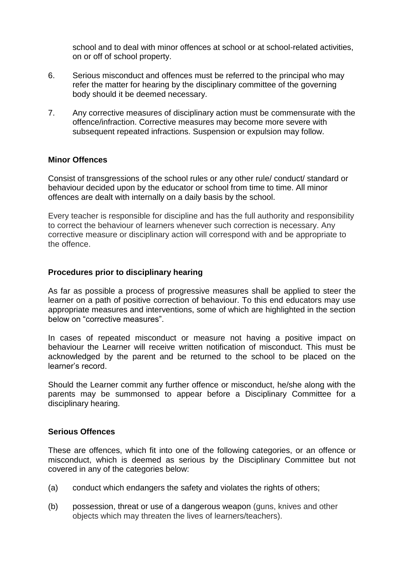school and to deal with minor offences at school or at school-related activities, on or off of school property.

- 6. Serious misconduct and offences must be referred to the principal who may refer the matter for hearing by the disciplinary committee of the governing body should it be deemed necessary.
- 7. Any corrective measures of disciplinary action must be commensurate with the offence/infraction. Corrective measures may become more severe with subsequent repeated infractions. Suspension or expulsion may follow.

#### **Minor Offences**

Consist of transgressions of the school rules or any other rule/ conduct/ standard or behaviour decided upon by the educator or school from time to time. All minor offences are dealt with internally on a daily basis by the school.

Every teacher is responsible for discipline and has the full authority and responsibility to correct the behaviour of learners whenever such correction is necessary. Any corrective measure or disciplinary action will correspond with and be appropriate to the offence.

#### **Procedures prior to disciplinary hearing**

As far as possible a process of progressive measures shall be applied to steer the learner on a path of positive correction of behaviour. To this end educators may use appropriate measures and interventions, some of which are highlighted in the section below on "corrective measures".

In cases of repeated misconduct or measure not having a positive impact on behaviour the Learner will receive written notification of misconduct. This must be acknowledged by the parent and be returned to the school to be placed on the learner's record.

Should the Learner commit any further offence or misconduct, he/she along with the parents may be summonsed to appear before a Disciplinary Committee for a disciplinary hearing.

#### **Serious Offences**

These are offences, which fit into one of the following categories, or an offence or misconduct, which is deemed as serious by the Disciplinary Committee but not covered in any of the categories below:

- (a) conduct which endangers the safety and violates the rights of others;
- (b) possession, threat or use of a dangerous weapon (guns, knives and other objects which may threaten the lives of learners/teachers).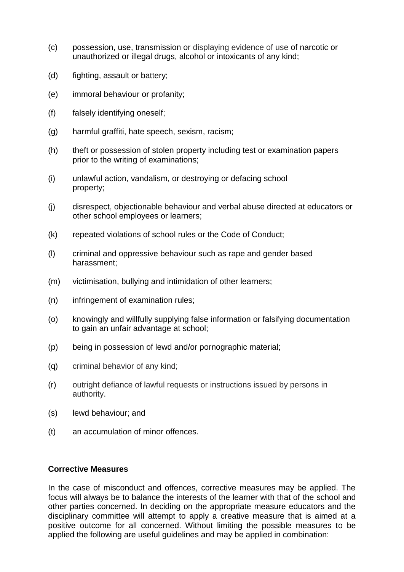- (c) possession, use, transmission or displaying evidence of use of narcotic or unauthorized or illegal drugs, alcohol or intoxicants of any kind;
- (d) fighting, assault or battery;
- (e) immoral behaviour or profanity;
- (f) falsely identifying oneself;
- (g) harmful graffiti, hate speech, sexism, racism;
- (h) theft or possession of stolen property including test or examination papers prior to the writing of examinations;
- (i) unlawful action, vandalism, or destroying or defacing school property;
- (j) disrespect, objectionable behaviour and verbal abuse directed at educators or other school employees or learners;
- (k) repeated violations of school rules or the Code of Conduct;
- (l) criminal and oppressive behaviour such as rape and gender based harassment;
- (m) victimisation, bullying and intimidation of other learners;
- (n) infringement of examination rules;
- (o) knowingly and willfully supplying false information or falsifying documentation to gain an unfair advantage at school;
- (p) being in possession of lewd and/or pornographic material;
- (q) criminal behavior of any kind;
- (r) outright defiance of lawful requests or instructions issued by persons in authority.
- (s) lewd behaviour; and
- (t) an accumulation of minor offences.

#### **Corrective Measures**

In the case of misconduct and offences, corrective measures may be applied. The focus will always be to balance the interests of the learner with that of the school and other parties concerned. In deciding on the appropriate measure educators and the disciplinary committee will attempt to apply a creative measure that is aimed at a positive outcome for all concerned. Without limiting the possible measures to be applied the following are useful guidelines and may be applied in combination: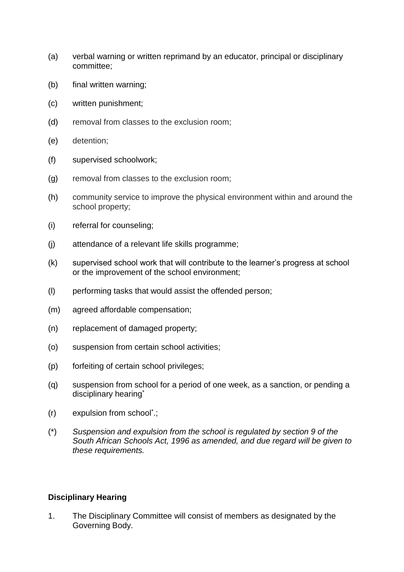- (a) verbal warning or written reprimand by an educator, principal or disciplinary committee;
- (b) final written warning;
- (c) written punishment;
- (d) removal from classes to the exclusion room;
- (e) detention;
- (f) supervised schoolwork;
- (g) removal from classes to the exclusion room;
- (h) community service to improve the physical environment within and around the school property;
- (i) referral for counseling;
- (j) attendance of a relevant life skills programme;
- (k) supervised school work that will contribute to the learner's progress at school or the improvement of the school environment;
- (l) performing tasks that would assist the offended person;
- (m) agreed affordable compensation;
- (n) replacement of damaged property;
- (o) suspension from certain school activities;
- (p) forfeiting of certain school privileges;
- (q) suspension from school for a period of one week, as a sanction, or pending a disciplinary hearing<sup>\*</sup>
- (r) expulsion from school\* .;
- (\*) *Suspension and expulsion from the school is regulated by section 9 of the South African Schools Act, 1996 as amended, and due regard will be given to these requirements.*

#### **Disciplinary Hearing**

1. The Disciplinary Committee will consist of members as designated by the Governing Body.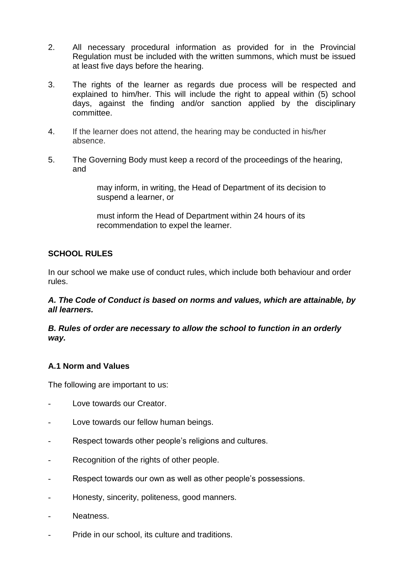- 2. All necessary procedural information as provided for in the Provincial Regulation must be included with the written summons, which must be issued at least five days before the hearing.
- 3. The rights of the learner as regards due process will be respected and explained to him/her. This will include the right to appeal within (5) school days, against the finding and/or sanction applied by the disciplinary committee.
- 4. If the learner does not attend, the hearing may be conducted in his/her absence.
- 5. The Governing Body must keep a record of the proceedings of the hearing, and

may inform, in writing, the Head of Department of its decision to suspend a learner, or

must inform the Head of Department within 24 hours of its recommendation to expel the learner.

### **SCHOOL RULES**

In our school we make use of conduct rules, which include both behaviour and order rules.

### *A. The Code of Conduct is based on norms and values, which are attainable, by all learners.*

### *B. Rules of order are necessary to allow the school to function in an orderly way.*

# **A.1 Norm and Values**

The following are important to us:

- Love towards our Creator.
- Love towards our fellow human beings.
- Respect towards other people's religions and cultures.
- Recognition of the rights of other people.
- Respect towards our own as well as other people's possessions.
- Honesty, sincerity, politeness, good manners.
- Neatness.
- Pride in our school, its culture and traditions.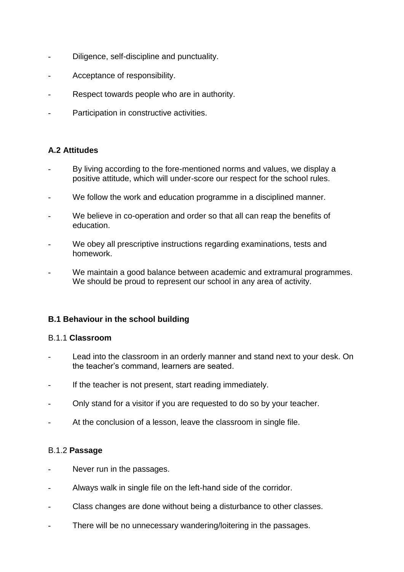- Diligence, self-discipline and punctuality.
- Acceptance of responsibility.
- Respect towards people who are in authority.
- Participation in constructive activities.

# **A.2 Attitudes**

- By living according to the fore-mentioned norms and values, we display a positive attitude, which will under-score our respect for the school rules.
- We follow the work and education programme in a disciplined manner.
- We believe in co-operation and order so that all can reap the benefits of education.
- We obey all prescriptive instructions regarding examinations, tests and homework.
- We maintain a good balance between academic and extramural programmes. We should be proud to represent our school in any area of activity.

# **B.1 Behaviour in the school building**

#### B.1.1 **Classroom**

- Lead into the classroom in an orderly manner and stand next to your desk. On the teacher's command, learners are seated.
- If the teacher is not present, start reading immediately.
- Only stand for a visitor if you are requested to do so by your teacher.
- At the conclusion of a lesson, leave the classroom in single file.

# B.1.2 **Passage**

- Never run in the passages.
- Always walk in single file on the left-hand side of the corridor.
- Class changes are done without being a disturbance to other classes.
- There will be no unnecessary wandering/loitering in the passages.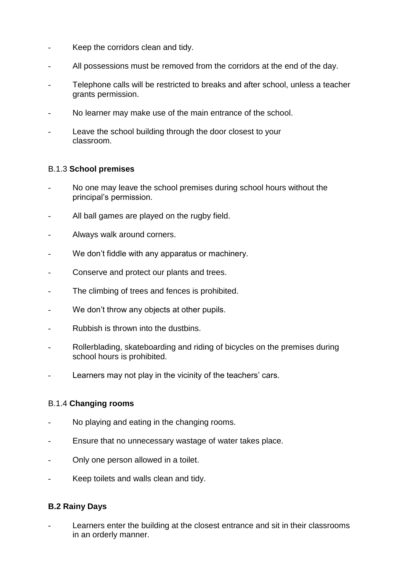- Keep the corridors clean and tidy.
- All possessions must be removed from the corridors at the end of the day.
- Telephone calls will be restricted to breaks and after school, unless a teacher grants permission.
- No learner may make use of the main entrance of the school.
- Leave the school building through the door closest to your classroom.

### B.1.3 **School premises**

- No one may leave the school premises during school hours without the principal's permission.
- All ball games are played on the rugby field.
- Always walk around corners.
- We don't fiddle with any apparatus or machinery.
- Conserve and protect our plants and trees.
- The climbing of trees and fences is prohibited.
- We don't throw any objects at other pupils.
- Rubbish is thrown into the dustbins.
- Rollerblading, skateboarding and riding of bicycles on the premises during school hours is prohibited.
- Learners may not play in the vicinity of the teachers' cars.

# B.1.4 **Changing rooms**

- No playing and eating in the changing rooms.
- Ensure that no unnecessary wastage of water takes place.
- Only one person allowed in a toilet.
- Keep toilets and walls clean and tidy.

#### **B.2 Rainy Days**

Learners enter the building at the closest entrance and sit in their classrooms in an orderly manner.